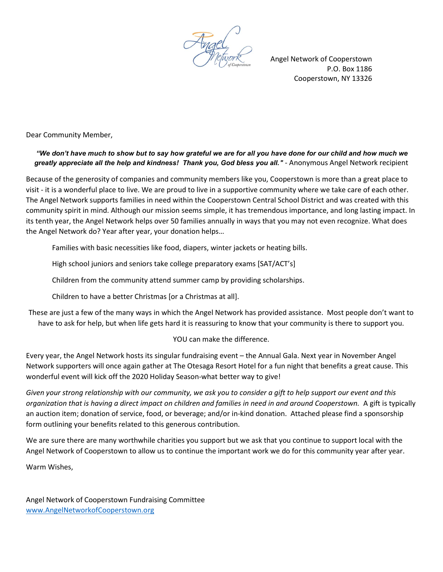Angel Network of Cooperstown P.O. Box 1186 Cooperstown, NY 13326

Dear Community Member,

## "We don't have much to show but to say how grateful we are for all you have done for our child and how much we greatly appreciate all the help and kindness! Thank you, God bless you all." - Anonymous Angel Network recipient

Because of the generosity of companies and community members like you, Cooperstown is more than a great place to visit - it is a wonderful place to live. We are proud to live in a supportive community where we take care of each other. The Angel Network supports families in need within the Cooperstown Central School District and was created with this community spirit in mind. Although our mission seems simple, it has tremendous importance, and long lasting impact. In its tenth year, the Angel Network helps over 50 families annually in ways that you may not even recognize. What does the Angel Network do? Year after year, your donation helps…

Families with basic necessities like food, diapers, winter jackets or heating bills.

High school juniors and seniors take college preparatory exams [SAT/ACT's]

Children from the community attend summer camp by providing scholarships.

Children to have a better Christmas [or a Christmas at all].

These are just a few of the many ways in which the Angel Network has provided assistance. Most people don't want to have to ask for help, but when life gets hard it is reassuring to know that your community is there to support you.

## YOU can make the difference.

Every year, the Angel Network hosts its singular fundraising event – the Annual Gala. Next year in November Angel Network supporters will once again gather at The Otesaga Resort Hotel for a fun night that benefits a great cause. This wonderful event will kick off the 2020 Holiday Season-what better way to give!

Given your strong relationship with our community, we ask you to consider a gift to help support our event and this organization that is having a direct impact on children and families in need in and around Cooperstown. A gift is typically an auction item; donation of service, food, or beverage; and/or in-kind donation. Attached please find a sponsorship form outlining your benefits related to this generous contribution.

We are sure there are many worthwhile charities you support but we ask that you continue to support local with the Angel Network of Cooperstown to allow us to continue the important work we do for this community year after year.

Warm Wishes,

Angel Network of Cooperstown Fundraising Committee www.AngelNetworkofCooperstown.org